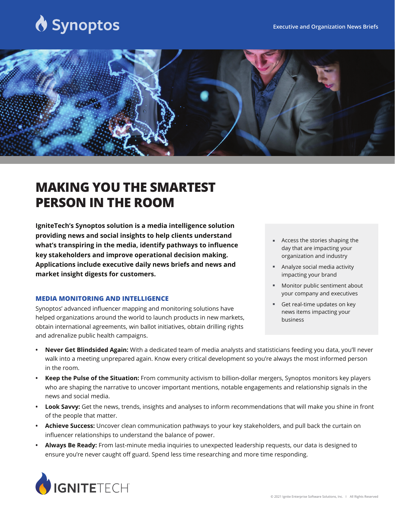# Synoptos



## **MAKING YOU THE SMARTEST PERSON IN THE ROOM**

**IgniteTech's Synoptos solution is a media intelligence solution providing news and social insights to help clients understand what's transpiring in the media, identify pathways to influence key stakeholders and improve operational decision making. Applications include executive daily news briefs and news and market insight digests for customers.**

#### **MEDIA MONITORING AND INTELLIGENCE**

Synoptos' advanced influencer mapping and monitoring solutions have helped organizations around the world to launch products in new markets, obtain international agreements, win ballot initiatives, obtain drilling rights and adrenalize public health campaigns.

- Access the stories shaping the day that are impacting your organization and industry
- Analyze social media activity impacting your brand
- Monitor public sentiment about your company and executives F
- Get real-time updates on key news items impacting your business F
- **Never Get Blindsided Again:** With a dedicated team of media analysts and statisticians feeding you data, you'll never walk into a meeting unprepared again. Know every critical development so you're always the most informed person in the room.
- **Keep the Pulse of the Situation:** From community activism to billion-dollar mergers, Synoptos monitors key players who are shaping the narrative to uncover important mentions, notable engagements and relationship signals in the news and social media.
- **Look Savvy:** Get the news, trends, insights and analyses to inform recommendations that will make you shine in front of the people that matter.
- **Achieve Success:** Uncover clean communication pathways to your key stakeholders, and pull back the curtain on influencer relationships to understand the balance of power.
- **Always Be Ready:** From last-minute media inquiries to unexpected leadership requests, our data is designed to ensure you're never caught off guard. Spend less time researching and more time responding.